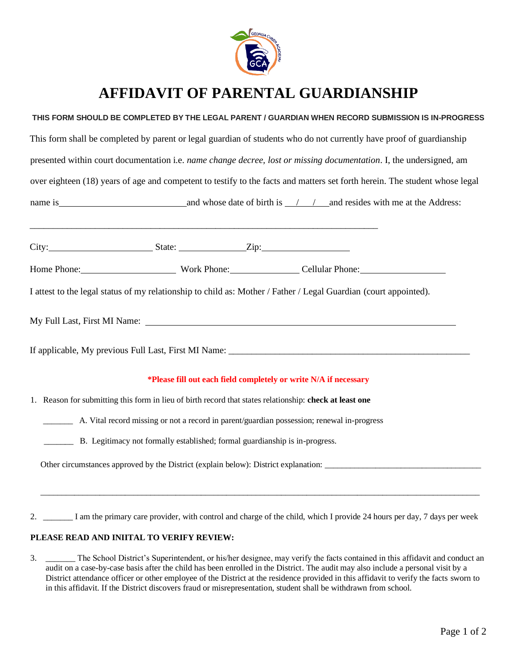

# **AFFIDAVIT OF PARENTAL GUARDIANSHIP**

# **THIS FORM SHOULD BE COMPLETED BY THE LEGAL PARENT / GUARDIAN WHEN RECORD SUBMISSION IS IN-PROGRESS**

| This form shall be completed by parent or legal guardian of students who do not currently have proof of guardianship<br>presented within court documentation i.e. name change decree, lost or missing documentation. I, the undersigned, am |                                                                                                         |                                                                                                                         |  |
|---------------------------------------------------------------------------------------------------------------------------------------------------------------------------------------------------------------------------------------------|---------------------------------------------------------------------------------------------------------|-------------------------------------------------------------------------------------------------------------------------|--|
|                                                                                                                                                                                                                                             |                                                                                                         |                                                                                                                         |  |
|                                                                                                                                                                                                                                             |                                                                                                         |                                                                                                                         |  |
|                                                                                                                                                                                                                                             |                                                                                                         |                                                                                                                         |  |
|                                                                                                                                                                                                                                             |                                                                                                         | Home Phone: Work Phone: Cellular Phone: Cellular Phone:                                                                 |  |
|                                                                                                                                                                                                                                             |                                                                                                         |                                                                                                                         |  |
|                                                                                                                                                                                                                                             |                                                                                                         | *Please fill out each field completely or write N/A if necessary                                                        |  |
|                                                                                                                                                                                                                                             | 1. Reason for submitting this form in lieu of birth record that states relationship: check at least one |                                                                                                                         |  |
|                                                                                                                                                                                                                                             |                                                                                                         | A. Vital record missing or not a record in parent/guardian possession; renewal in-progress                              |  |
|                                                                                                                                                                                                                                             | B. Legitimacy not formally established; formal guardianship is in-progress.                             |                                                                                                                         |  |
|                                                                                                                                                                                                                                             |                                                                                                         | Other circumstances approved by the District (explain below): District explanation:                                     |  |
| 2.                                                                                                                                                                                                                                          |                                                                                                         | I am the primary care provider, with control and charge of the child, which I provide 24 hours per day, 7 days per week |  |

### **PLEASE READ AND INIITAL TO VERIFY REVIEW:**

3. \_\_\_\_\_\_\_ The School District's Superintendent, or his/her designee, may verify the facts contained in this affidavit and conduct an audit on a case-by-case basis after the child has been enrolled in the District. The audit may also include a personal visit by a District attendance officer or other employee of the District at the residence provided in this affidavit to verify the facts sworn to in this affidavit. If the District discovers fraud or misrepresentation, student shall be withdrawn from school.